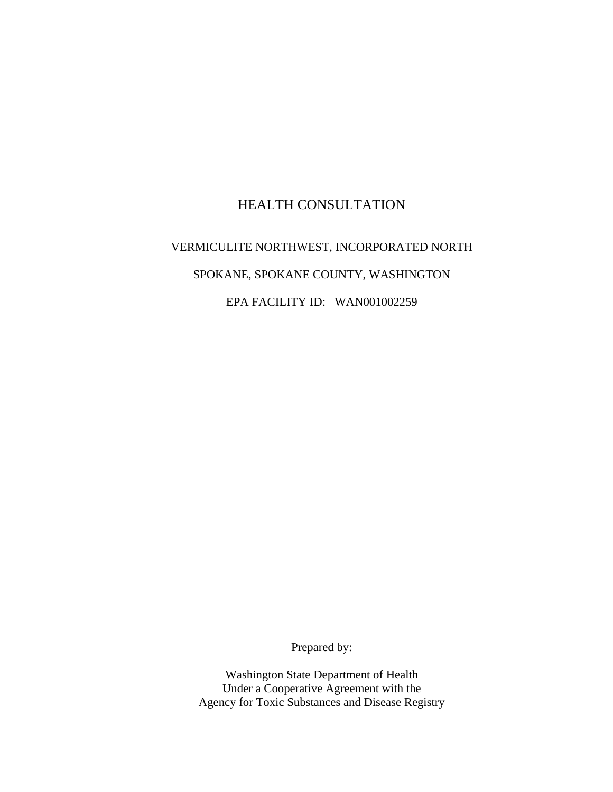# HEALTH CONSULTATION

# VERMICULITE NORTHWEST, INCORPORATED NORTH SPOKANE, SPOKANE COUNTY, WASHINGTON EPA FACILITY ID: WAN001002259

Prepared by:

Washington State Department of Health Under a Cooperative Agreement with the Agency for Toxic Substances and Disease Registry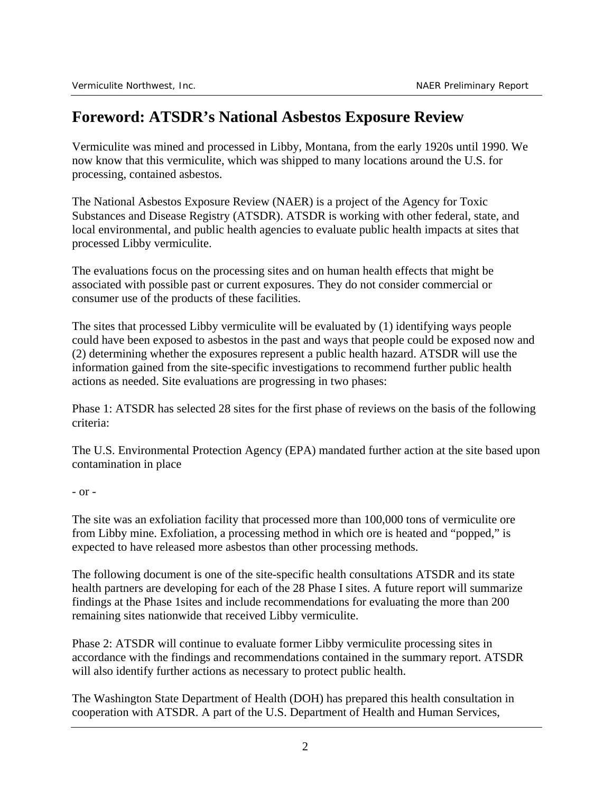# **Foreword: ATSDR's National Asbestos Exposure Review**

Vermiculite was mined and processed in Libby, Montana, from the early 1920s until 1990. We now know that this vermiculite, which was shipped to many locations around the U.S. for processing, contained asbestos.

The National Asbestos Exposure Review (NAER) is a project of the Agency for Toxic Substances and Disease Registry (ATSDR). ATSDR is working with other federal, state, and local environmental, and public health agencies to evaluate public health impacts at sites that processed Libby vermiculite.

The evaluations focus on the processing sites and on human health effects that might be associated with possible past or current exposures. They do not consider commercial or consumer use of the products of these facilities.

The sites that processed Libby vermiculite will be evaluated by (1) identifying ways people could have been exposed to asbestos in the past and ways that people could be exposed now and (2) determining whether the exposures represent a public health hazard. ATSDR will use the information gained from the site-specific investigations to recommend further public health actions as needed. Site evaluations are progressing in two phases:

Phase 1: ATSDR has selected 28 sites for the first phase of reviews on the basis of the following criteria:

The U.S. Environmental Protection Agency (EPA) mandated further action at the site based upon contamination in place

#### - or -

The site was an exfoliation facility that processed more than 100,000 tons of vermiculite ore from Libby mine. Exfoliation, a processing method in which ore is heated and "popped," is expected to have released more asbestos than other processing methods.

The following document is one of the site-specific health consultations ATSDR and its state health partners are developing for each of the 28 Phase I sites. A future report will summarize findings at the Phase 1sites and include recommendations for evaluating the more than 200 remaining sites nationwide that received Libby vermiculite.

Phase 2: ATSDR will continue to evaluate former Libby vermiculite processing sites in accordance with the findings and recommendations contained in the summary report. ATSDR will also identify further actions as necessary to protect public health.

The Washington State Department of Health (DOH) has prepared this health consultation in cooperation with ATSDR. A part of the U.S. Department of Health and Human Services,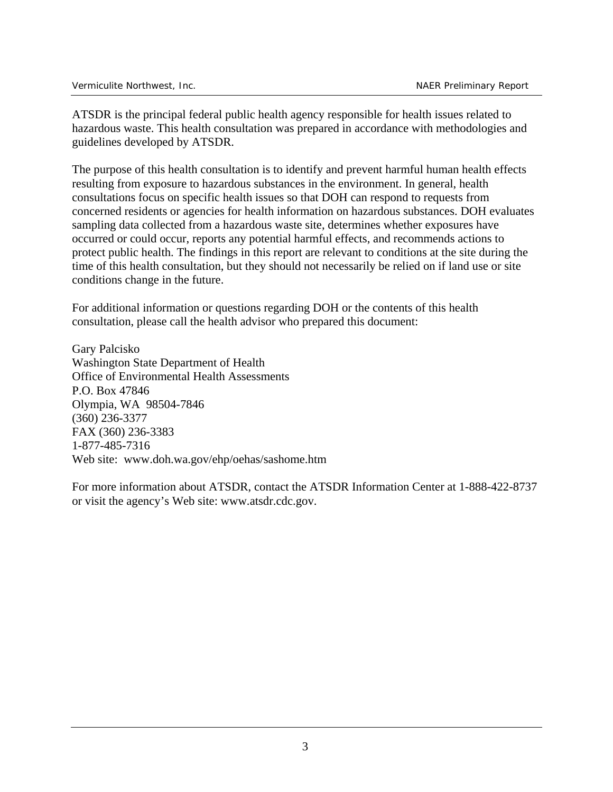ATSDR is the principal federal public health agency responsible for health issues related to hazardous waste. This health consultation was prepared in accordance with methodologies and guidelines developed by ATSDR.

The purpose of this health consultation is to identify and prevent harmful human health effects resulting from exposure to hazardous substances in the environment. In general, health consultations focus on specific health issues so that DOH can respond to requests from concerned residents or agencies for health information on hazardous substances. DOH evaluates sampling data collected from a hazardous waste site, determines whether exposures have occurred or could occur, reports any potential harmful effects, and recommends actions to protect public health. The findings in this report are relevant to conditions at the site during the time of this health consultation, but they should not necessarily be relied on if land use or site conditions change in the future.

For additional information or questions regarding DOH or the contents of this health consultation, please call the health advisor who prepared this document:

Gary Palcisko Washington State Department of Health Office of Environmental Health Assessments P.O. Box 47846 Olympia, WA 98504-7846 (360) 236-3377 FAX (360) 236-3383 1-877-485-7316 Web site: www.doh.wa.gov/ehp/oehas/sashome.htm

For more information about ATSDR, contact the ATSDR Information Center at 1-888-422-8737 or visit the agency's Web site: www.atsdr.cdc.gov.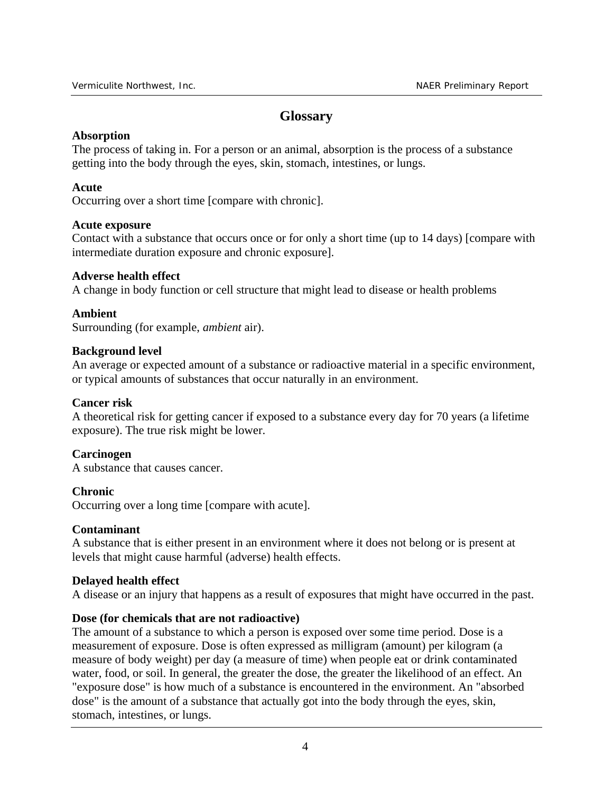# **Glossary**

#### **Absorption**

The process of taking in. For a person or an animal, absorption is the process of a substance getting into the body through the eyes, skin, stomach, intestines, or lungs.

#### **Acute**

Occurring over a short time [compare with chronic].

#### **Acute exposure**

Contact with a substance that occurs once or for only a short time (up to 14 days) [compare with intermediate duration exposure and chronic exposure].

#### **Adverse health effect**

A change in body function or cell structure that might lead to disease or health problems

# **Ambient**

Surrounding (for example, *ambient* air).

#### **Background level**

An average or expected amount of a substance or radioactive material in a specific environment, or typical amounts of substances that occur naturally in an environment.

# **Cancer risk**

A theoretical risk for getting cancer if exposed to a substance every day for 70 years (a lifetime exposure). The true risk might be lower.

# **Carcinogen**

A substance that causes cancer.

# **Chronic**

Occurring over a long time [compare with acute].

# **Contaminant**

A substance that is either present in an environment where it does not belong or is present at levels that might cause harmful (adverse) health effects.

#### **Delayed health effect**

A disease or an injury that happens as a result of exposures that might have occurred in the past.

# **Dose (for chemicals that are not radioactive)**

The amount of a substance to which a person is exposed over some time period. Dose is a measurement of exposure. Dose is often expressed as milligram (amount) per kilogram (a measure of body weight) per day (a measure of time) when people eat or drink contaminated water, food, or soil. In general, the greater the dose, the greater the likelihood of an effect. An "exposure dose" is how much of a substance is encountered in the environment. An "absorbed dose" is the amount of a substance that actually got into the body through the eyes, skin, stomach, intestines, or lungs.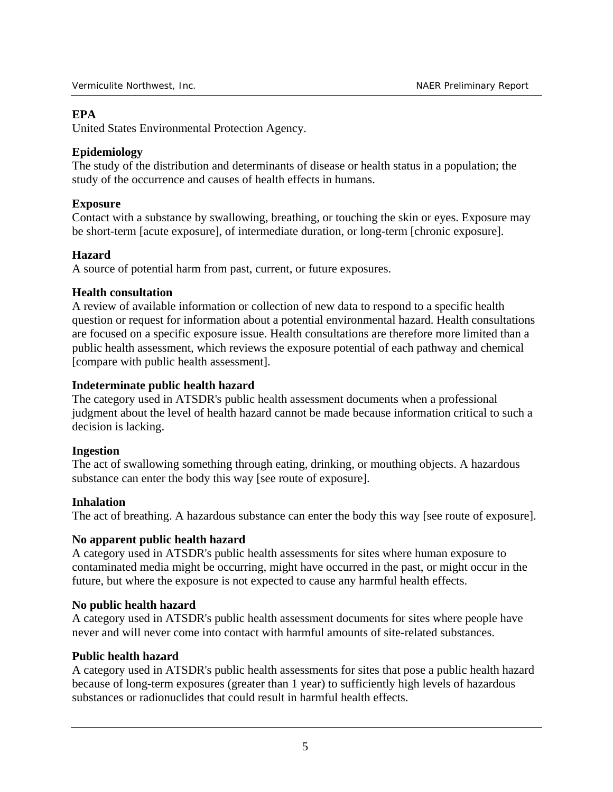# **EPA**

United States Environmental Protection Agency.

#### **Epidemiology**

The study of the distribution and determinants of disease or health status in a population; the study of the occurrence and causes of health effects in humans.

#### **Exposure**

Contact with a substance by swallowing, breathing, or touching the skin or eyes. Exposure may be short-term [acute exposure], of intermediate duration, or long-term [chronic exposure].

#### **Hazard**

A source of potential harm from past, current, or future exposures.

#### **Health consultation**

A review of available information or collection of new data to respond to a specific health question or request for information about a potential environmental hazard. Health consultations are focused on a specific exposure issue. Health consultations are therefore more limited than a public health assessment, which reviews the exposure potential of each pathway and chemical [compare with public health assessment].

#### **Indeterminate public health hazard**

The category used in ATSDR's public health assessment documents when a professional judgment about the level of health hazard cannot be made because information critical to such a decision is lacking.

#### **Ingestion**

The act of swallowing something through eating, drinking, or mouthing objects. A hazardous substance can enter the body this way [see route of exposure].

#### **Inhalation**

The act of breathing. A hazardous substance can enter the body this way [see route of exposure].

#### **No apparent public health hazard**

A category used in ATSDR's public health assessments for sites where human exposure to contaminated media might be occurring, might have occurred in the past, or might occur in the future, but where the exposure is not expected to cause any harmful health effects.

#### **No public health hazard**

A category used in ATSDR's public health assessment documents for sites where people have never and will never come into contact with harmful amounts of site-related substances.

#### **Public health hazard**

A category used in ATSDR's public health assessments for sites that pose a public health hazard because of long-term exposures (greater than 1 year) to sufficiently high levels of hazardous substances or radionuclides that could result in harmful health effects.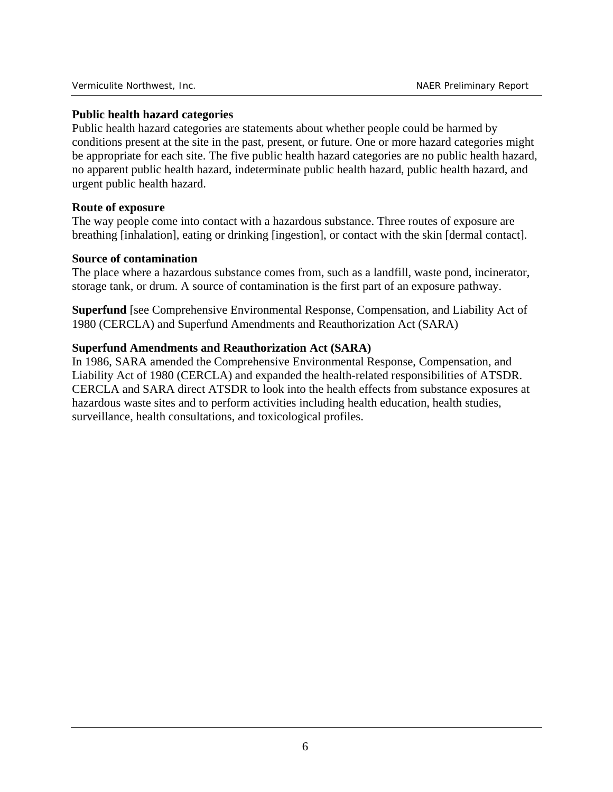#### **Public health hazard categories**

Public health hazard categories are statements about whether people could be harmed by conditions present at the site in the past, present, or future. One or more hazard categories might be appropriate for each site. The five public health hazard categories are no public health hazard, no apparent public health hazard, indeterminate public health hazard, public health hazard, and urgent public health hazard.

#### **Route of exposure**

The way people come into contact with a hazardous substance. Three routes of exposure are breathing [inhalation], eating or drinking [ingestion], or contact with the skin [dermal contact].

#### **Source of contamination**

The place where a hazardous substance comes from, such as a landfill, waste pond, incinerator, storage tank, or drum. A source of contamination is the first part of an exposure pathway.

**Superfund** [see Comprehensive Environmental Response, Compensation, and Liability Act of 1980 (CERCLA) and Superfund Amendments and Reauthorization Act (SARA)

#### **Superfund Amendments and Reauthorization Act (SARA)**

In 1986, SARA amended the Comprehensive Environmental Response, Compensation, and Liability Act of 1980 (CERCLA) and expanded the health-related responsibilities of ATSDR. CERCLA and SARA direct ATSDR to look into the health effects from substance exposures at hazardous waste sites and to perform activities including health education, health studies, surveillance, health consultations, and toxicological profiles.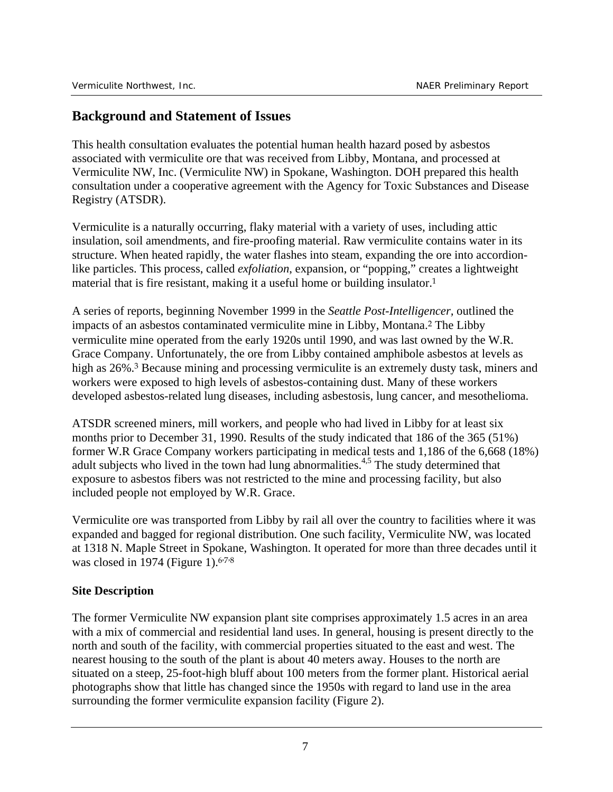# **Background and Statement of Issues**

This health consultation evaluates the potential human health hazard posed by asbestos associated with vermiculite ore that was received from Libby, Montana, and processed at Vermiculite NW, Inc. (Vermiculite NW) in Spokane, Washington. DOH prepared this health consultation under a cooperative agreement with the Agency for Toxic Substances and Disease Registry (ATSDR).

Vermiculite is a naturally occurring, flaky material with a variety of uses, including attic insulation, soil amendments, and fire-proofing material. Raw vermiculite contains water in its structure. When heated rapidly, the water flashes into steam, expanding the ore into accordionlike particles. This process, called *exfoliation*, expansion, or "popping," creates a lightweight material that is fire resistant, making it a useful home or building insulator.<sup>1</sup>

A series of reports, beginning November 1999 in the *Seattle Post-Intelligencer,* outlined the impacts of an asbestos contaminated vermiculite mine in Libby, Montana.2 The Libby vermiculite mine operated from the early 1920s until 1990, and was last owned by the W.R. Grace Company. Unfortunately, the ore from Libby contained amphibole asbestos at levels as high as 26%.<sup>3</sup> Because mining and processing vermiculite is an extremely dusty task, miners and workers were exposed to high levels of asbestos-containing dust. Many of these workers developed asbestos-related lung diseases, including asbestosis, lung cancer, and mesothelioma.

ATSDR screened miners, mill workers, and people who had lived in Libby for at least six months prior to December 31, 1990. Results of the study indicated that 186 of the 365 (51%) former W.R Grace Company workers participating in medical tests and 1,186 of the 6,668 (18%) adult subjects who lived in the town had lung abnormalities.<sup>4,5</sup> The study determined that exposure to asbestos fibers was not restricted to the mine and processing facility, but also included people not employed by W.R. Grace.

Vermiculite ore was transported from Libby by rail all over the country to facilities where it was expanded and bagged for regional distribution. One such facility, Vermiculite NW, was located at 1318 N. Maple Street in Spokane, Washington. It operated for more than three decades until it was closed in 1974 (Figure 1). $678$ 

# **Site Description**

The former Vermiculite NW expansion plant site comprises approximately 1.5 acres in an area with a mix of commercial and residential land uses. In general, housing is present directly to the north and south of the facility, with commercial properties situated to the east and west. The nearest housing to the south of the plant is about 40 meters away. Houses to the north are situated on a steep, 25-foot-high bluff about 100 meters from the former plant. Historical aerial photographs show that little has changed since the 1950s with regard to land use in the area surrounding the former vermiculite expansion facility (Figure 2).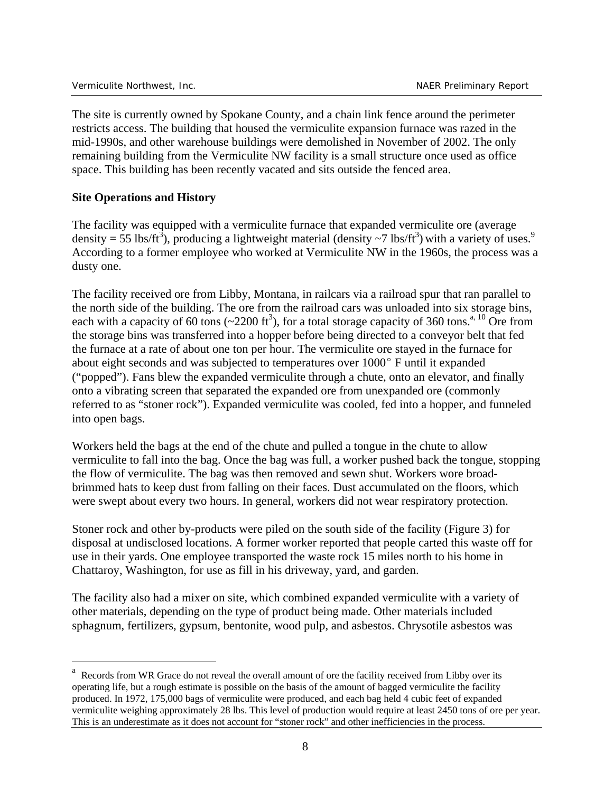The site is currently owned by Spokane County, and a chain link fence around the perimeter restricts access. The building that housed the vermiculite expansion furnace was razed in the mid-1990s, and other warehouse buildings were demolished in November of 2002. The only remaining building from the Vermiculite NW facility is a small structure once used as office space. This building has been recently vacated and sits outside the fenced area.

#### **Site Operations and History**

 $\overline{a}$ 

The facility was equipped with a vermiculite furnace that expanded vermiculite ore (average density = 55 lbs/ft<sup>3</sup>), producing a lightweight material (density  $\sim$ 7 lbs/ft<sup>3</sup>) with a variety of uses.<sup>9</sup> According to a former employee who worked at Vermiculite NW in the 1960s, the process was a dusty one.

The facility received ore from Libby, Montana, in railcars via a railroad spur that ran parallel to the north side of the building. The ore from the railroad cars was unloaded into six storage bins, each with a capacity of 60 tons ( $\sim$ 2200 ft<sup>3</sup>), for a total storage capacity of 360 tons.<sup>a, 10</sup> Ore from the storage bins was transferred into a hopper before being directed to a conveyor belt that fed the furnace at a rate of about one ton per hour. The vermiculite ore stayed in the furnace for about eight seconds and was subjected to temperatures over  $1000^{\circ}$  F until it expanded ("popped"). Fans blew the expanded vermiculite through a chute, onto an elevator, and finally onto a vibrating screen that separated the expanded ore from unexpanded ore (commonly referred to as "stoner rock"). Expanded vermiculite was cooled, fed into a hopper, and funneled into open bags.

Workers held the bags at the end of the chute and pulled a tongue in the chute to allow vermiculite to fall into the bag. Once the bag was full, a worker pushed back the tongue, stopping the flow of vermiculite. The bag was then removed and sewn shut. Workers wore broadbrimmed hats to keep dust from falling on their faces. Dust accumulated on the floors, which were swept about every two hours. In general, workers did not wear respiratory protection.

Stoner rock and other by-products were piled on the south side of the facility (Figure 3) for disposal at undisclosed locations. A former worker reported that people carted this waste off for use in their yards. One employee transported the waste rock 15 miles north to his home in Chattaroy, Washington, for use as fill in his driveway, yard, and garden.

The facility also had a mixer on site, which combined expanded vermiculite with a variety of other materials, depending on the type of product being made. Other materials included sphagnum, fertilizers, gypsum, bentonite, wood pulp, and asbestos. Chrysotile asbestos was

Records from WR Grace do not reveal the overall amount of ore the facility received from Libby over its operating life, but a rough estimate is possible on the basis of the amount of bagged vermiculite the facility produced. In 1972, 175,000 bags of vermiculite were produced, and each bag held 4 cubic feet of expanded vermiculite weighing approximately 28 lbs. This level of production would require at least 2450 tons of ore per year. This is an underestimate as it does not account for "stoner rock" and other inefficiencies in the process.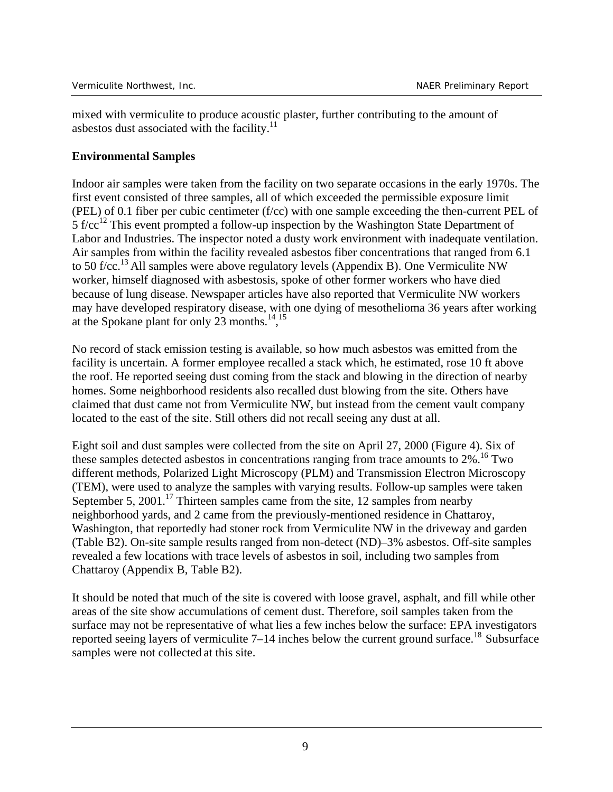mixed with vermiculite to produce acoustic plaster, further contributing to the amount of asbestos dust associated with the facility. $^{11}$ 

#### **Environmental Samples**

Indoor air samples were taken from the facility on two separate occasions in the early 1970s. The first event consisted of three samples, all of which exceeded the permissible exposure limit (PEL) of 0.1 fiber per cubic centimeter (f/cc) with one sample exceeding the then-current PEL of 5 f/cc<sup>12</sup> This event prompted a follow-up inspection by the Washington State Department of Labor and Industries. The inspector noted a dusty work environment with inadequate ventilation. Air samples from within the facility revealed asbestos fiber concentrations that ranged from 6.1 to 50 f/ $cc$ <sup>13</sup> All samples were above regulatory levels (Appendix B). One Vermiculite NW worker, himself diagnosed with asbestosis, spoke of other former workers who have died because of lung disease. Newspaper articles have also reported that Vermiculite NW workers may have developed respiratory disease, with one dying of mesothelioma 36 years after working at the Spokane plant for only  $23$  months.<sup>14, 15</sup>

No record of stack emission testing is available, so how much asbestos was emitted from the facility is uncertain. A former employee recalled a stack which, he estimated, rose 10 ft above the roof. He reported seeing dust coming from the stack and blowing in the direction of nearby homes. Some neighborhood residents also recalled dust blowing from the site. Others have claimed that dust came not from Vermiculite NW, but instead from the cement vault company located to the east of the site. Still others did not recall seeing any dust at all.

Eight soil and dust samples were collected from the site on April 27, 2000 (Figure 4). Six of these samples detected asbestos in concentrations ranging from trace amounts to  $2\%$ .<sup>16</sup> Two different methods, Polarized Light Microscopy (PLM) and Transmission Electron Microscopy (TEM), were used to analyze the samples with varying results. Follow-up samples were taken September 5, 2001.<sup>17</sup> Thirteen samples came from the site, 12 samples from nearby neighborhood yards, and 2 came from the previously-mentioned residence in Chattaroy, Washington, that reportedly had stoner rock from Vermiculite NW in the driveway and garden (Table B2). On-site sample results ranged from non-detect (ND)–3% asbestos. Off-site samples revealed a few locations with trace levels of asbestos in soil, including two samples from Chattaroy (Appendix B, Table B2).

It should be noted that much of the site is covered with loose gravel, asphalt, and fill while other areas of the site show accumulations of cement dust. Therefore, soil samples taken from the surface may not be representative of what lies a few inches below the surface: EPA investigators reported seeing layers of vermiculite 7–14 inches below the current ground surface.<sup>18</sup> Subsurface samples were not collected at this site.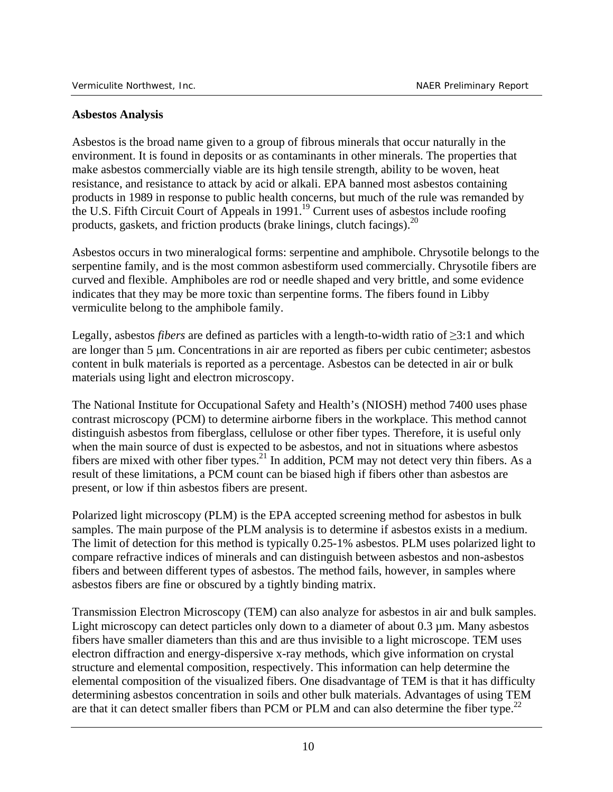#### **Asbestos Analysis**

Asbestos is the broad name given to a group of fibrous minerals that occur naturally in the environment. It is found in deposits or as contaminants in other minerals. The properties that make asbestos commercially viable are its high tensile strength, ability to be woven, heat resistance, and resistance to attack by acid or alkali. EPA banned most asbestos containing products in 1989 in response to public health concerns, but much of the rule was remanded by the U.S. Fifth Circuit Court of Appeals in  $1991$ .<sup>19</sup> Current uses of asbestos include roofing products, gaskets, and friction products (brake linings, clutch facings).20

Asbestos occurs in two mineralogical forms: serpentine and amphibole. Chrysotile belongs to the serpentine family, and is the most common asbestiform used commercially. Chrysotile fibers are curved and flexible. Amphiboles are rod or needle shaped and very brittle, and some evidence indicates that they may be more toxic than serpentine forms. The fibers found in Libby vermiculite belong to the amphibole family.

Legally, asbestos *fibers* are defined as particles with a length-to-width ratio of  $\geq 3:1$  and which are longer than 5 µm. Concentrations in air are reported as fibers per cubic centimeter; asbestos content in bulk materials is reported as a percentage. Asbestos can be detected in air or bulk materials using light and electron microscopy.

The National Institute for Occupational Safety and Health's (NIOSH) method 7400 uses phase contrast microscopy (PCM) to determine airborne fibers in the workplace. This method cannot distinguish asbestos from fiberglass, cellulose or other fiber types. Therefore, it is useful only when the main source of dust is expected to be asbestos, and not in situations where asbestos fibers are mixed with other fiber types.<sup>21</sup> In addition, PCM may not detect very thin fibers. As a result of these limitations, a PCM count can be biased high if fibers other than asbestos are present, or low if thin asbestos fibers are present.

Polarized light microscopy (PLM) is the EPA accepted screening method for asbestos in bulk samples. The main purpose of the PLM analysis is to determine if asbestos exists in a medium. The limit of detection for this method is typically 0.25-1% asbestos. PLM uses polarized light to compare refractive indices of minerals and can distinguish between asbestos and non-asbestos fibers and between different types of asbestos. The method fails, however, in samples where asbestos fibers are fine or obscured by a tightly binding matrix.

Transmission Electron Microscopy (TEM) can also analyze for asbestos in air and bulk samples. Light microscopy can detect particles only down to a diameter of about 0.3  $\mu$ m. Many asbestos fibers have smaller diameters than this and are thus invisible to a light microscope. TEM uses electron diffraction and energy-dispersive x-ray methods, which give information on crystal structure and elemental composition, respectively. This information can help determine the elemental composition of the visualized fibers. One disadvantage of TEM is that it has difficulty determining asbestos concentration in soils and other bulk materials. Advantages of using TEM are that it can detect smaller fibers than PCM or PLM and can also determine the fiber type.<sup>22</sup>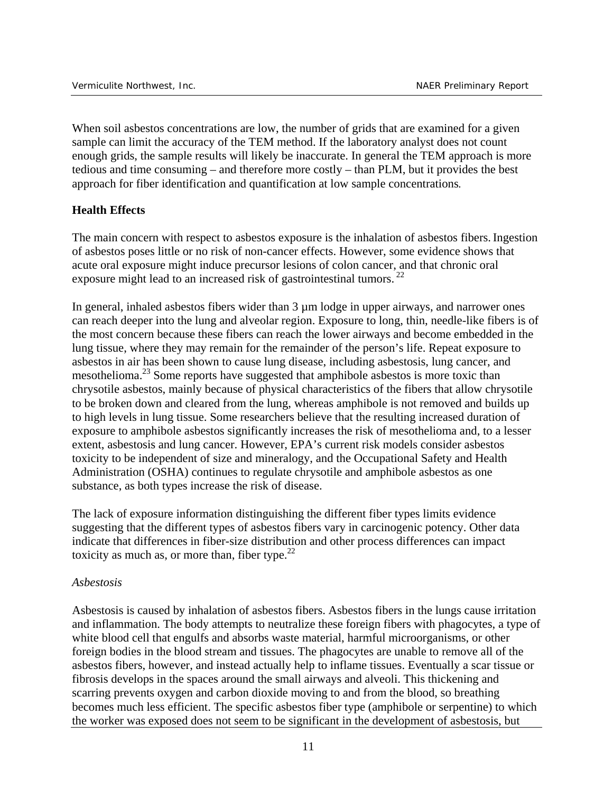When soil asbestos concentrations are low, the number of grids that are examined for a given sample can limit the accuracy of the TEM method. If the laboratory analyst does not count enough grids, the sample results will likely be inaccurate. In general the TEM approach is more tedious and time consuming – and therefore more costly – than PLM, but it provides the best approach for fiber identification and quantification at low sample concentrations*.* 

#### **Health Effects**

The main concern with respect to asbestos exposure is the inhalation of asbestos fibers.Ingestion of asbestos poses little or no risk of non-cancer effects. However, some evidence shows that acute oral exposure might induce precursor lesions of colon cancer, and that chronic oral exposure might lead to an increased risk of gastrointestinal tumors.<sup>22</sup>

In general, inhaled asbestos fibers wider than 3 µm lodge in upper airways, and narrower ones can reach deeper into the lung and alveolar region. Exposure to long, thin, needle-like fibers is of the most concern because these fibers can reach the lower airways and become embedded in the lung tissue, where they may remain for the remainder of the person's life. Repeat exposure to asbestos in air has been shown to cause lung disease, including asbestosis, lung cancer, and mesothelioma.<sup>23</sup> Some reports have suggested that amphibole asbestos is more toxic than chrysotile asbestos, mainly because of physical characteristics of the fibers that allow chrysotile to be broken down and cleared from the lung, whereas amphibole is not removed and builds up to high levels in lung tissue. Some researchers believe that the resulting increased duration of exposure to amphibole asbestos significantly increases the risk of mesothelioma and, to a lesser extent, asbestosis and lung cancer. However, EPA's current risk models consider asbestos toxicity to be independent of size and mineralogy, and the Occupational Safety and Health Administration (OSHA) continues to regulate chrysotile and amphibole asbestos as one substance, as both types increase the risk of disease.

The lack of exposure information distinguishing the different fiber types limits evidence suggesting that the different types of asbestos fibers vary in carcinogenic potency. Other data indicate that differences in fiber-size distribution and other process differences can impact toxicity as much as, or more than, fiber type. $2<sup>22</sup>$ 

#### *Asbestosis*

Asbestosis is caused by inhalation of asbestos fibers. Asbestos fibers in the lungs cause irritation and inflammation. The body attempts to neutralize these foreign fibers with phagocytes, a type of white blood cell that engulfs and absorbs waste material, harmful microorganisms, or other foreign bodies in the blood stream and tissues. The phagocytes are unable to remove all of the asbestos fibers, however, and instead actually help to inflame tissues. Eventually a scar tissue or fibrosis develops in the spaces around the small airways and alveoli. This thickening and scarring prevents oxygen and carbon dioxide moving to and from the blood, so breathing becomes much less efficient. The specific asbestos fiber type (amphibole or serpentine) to which the worker was exposed does not seem to be significant in the development of asbestosis, but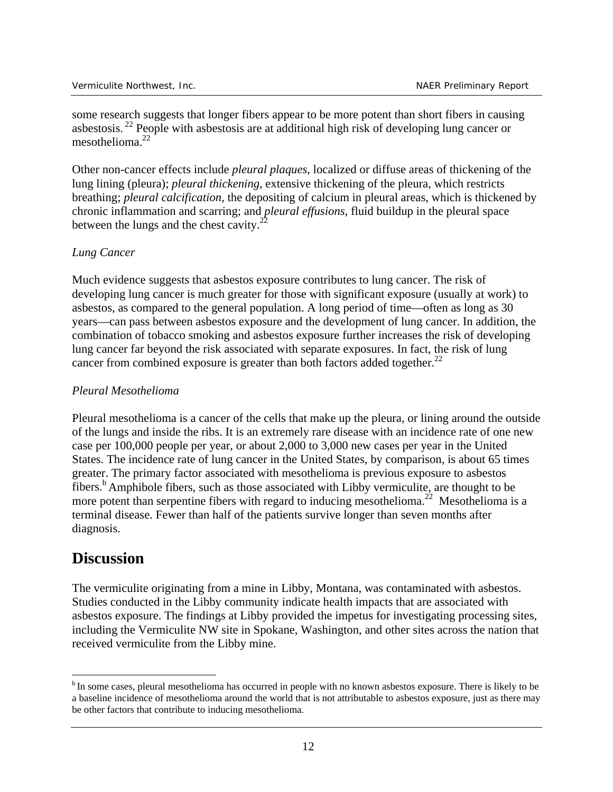some research suggests that longer fibers appear to be more potent than short fibers in causing asbestosis. <sup>22</sup> People with asbestosis are at additional high risk of developing lung cancer or mesothelioma. 22

Other non-cancer effects include *pleural plaques*, localized or diffuse areas of thickening of the lung lining (pleura); *pleural thickening*, extensive thickening of the pleura, which restricts breathing; *pleural calcification*, the depositing of calcium in pleural areas, which is thickened by chronic inflammation and scarring; and *pleural effusions*, fluid buildup in the pleural space between the lungs and the chest cavity. $^{22}$ 

#### *Lung Cancer*

Much evidence suggests that asbestos exposure contributes to lung cancer. The risk of developing lung cancer is much greater for those with significant exposure (usually at work) to asbestos, as compared to the general population. A long period of time—often as long as 30 years—can pass between asbestos exposure and the development of lung cancer. In addition, the combination of tobacco smoking and asbestos exposure further increases the risk of developing lung cancer far beyond the risk associated with separate exposures. In fact, the risk of lung cancer from combined exposure is greater than both factors added together.<sup>22</sup>

#### *Pleural Mesothelioma*

Pleural mesothelioma is a cancer of the cells that make up the pleura, or lining around the outside of the lungs and inside the ribs. It is an extremely rare disease with an incidence rate of one new case per 100,000 people per year, or about 2,000 to 3,000 new cases per year in the United States. The incidence rate of lung cancer in the United States, by comparison, is about 65 times greater. The primary factor associated with mesothelioma is previous exposure to asbestos fibers.<sup>b</sup> Amphibole fibers, such as those associated with Libby vermiculite, are thought to be more potent than serpentine fibers with regard to inducing mesothelioma.<sup>22</sup> Mesothelioma is a terminal disease. Fewer than half of the patients survive longer than seven months after diagnosis.

# **Discussion**

 $\overline{a}$ 

The vermiculite originating from a mine in Libby, Montana, was contaminated with asbestos. Studies conducted in the Libby community indicate health impacts that are associated with asbestos exposure. The findings at Libby provided the impetus for investigating processing sites, including the Vermiculite NW site in Spokane, Washington, and other sites across the nation that received vermiculite from the Libby mine.

b In some cases, pleural mesothelioma has occurred in people with no known asbestos exposure. There is likely to be a baseline incidence of mesothelioma around the world that is not attributable to asbestos exposure, just as there may be other factors that contribute to inducing mesothelioma.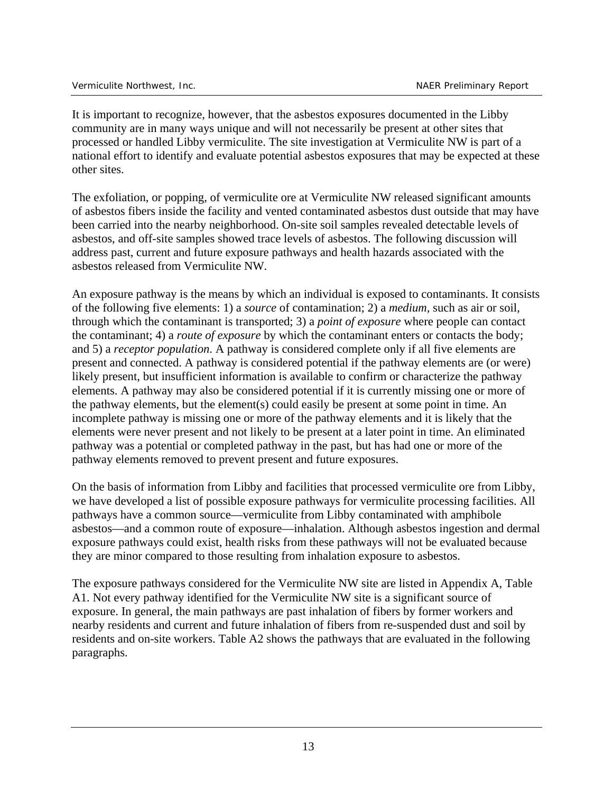It is important to recognize, however, that the asbestos exposures documented in the Libby community are in many ways unique and will not necessarily be present at other sites that processed or handled Libby vermiculite. The site investigation at Vermiculite NW is part of a national effort to identify and evaluate potential asbestos exposures that may be expected at these other sites.

The exfoliation, or popping, of vermiculite ore at Vermiculite NW released significant amounts of asbestos fibers inside the facility and vented contaminated asbestos dust outside that may have been carried into the nearby neighborhood. On-site soil samples revealed detectable levels of asbestos, and off-site samples showed trace levels of asbestos. The following discussion will address past, current and future exposure pathways and health hazards associated with the asbestos released from Vermiculite NW.

An exposure pathway is the means by which an individual is exposed to contaminants. It consists of the following five elements: 1) a *source* of contamination; 2) a *medium,* such as air or soil, through which the contaminant is transported; 3) a *point of exposure* where people can contact the contaminant; 4) a *route of exposure* by which the contaminant enters or contacts the body; and 5) a *receptor population*. A pathway is considered complete only if all five elements are present and connected. A pathway is considered potential if the pathway elements are (or were) likely present, but insufficient information is available to confirm or characterize the pathway elements. A pathway may also be considered potential if it is currently missing one or more of the pathway elements, but the element(s) could easily be present at some point in time. An incomplete pathway is missing one or more of the pathway elements and it is likely that the elements were never present and not likely to be present at a later point in time. An eliminated pathway was a potential or completed pathway in the past, but has had one or more of the pathway elements removed to prevent present and future exposures.

On the basis of information from Libby and facilities that processed vermiculite ore from Libby, we have developed a list of possible exposure pathways for vermiculite processing facilities. All pathways have a common source—vermiculite from Libby contaminated with amphibole asbestos—and a common route of exposure—inhalation. Although asbestos ingestion and dermal exposure pathways could exist, health risks from these pathways will not be evaluated because they are minor compared to those resulting from inhalation exposure to asbestos.

The exposure pathways considered for the Vermiculite NW site are listed in Appendix A, Table A1. Not every pathway identified for the Vermiculite NW site is a significant source of exposure. In general, the main pathways are past inhalation of fibers by former workers and nearby residents and current and future inhalation of fibers from re-suspended dust and soil by residents and on-site workers. Table A2 shows the pathways that are evaluated in the following paragraphs.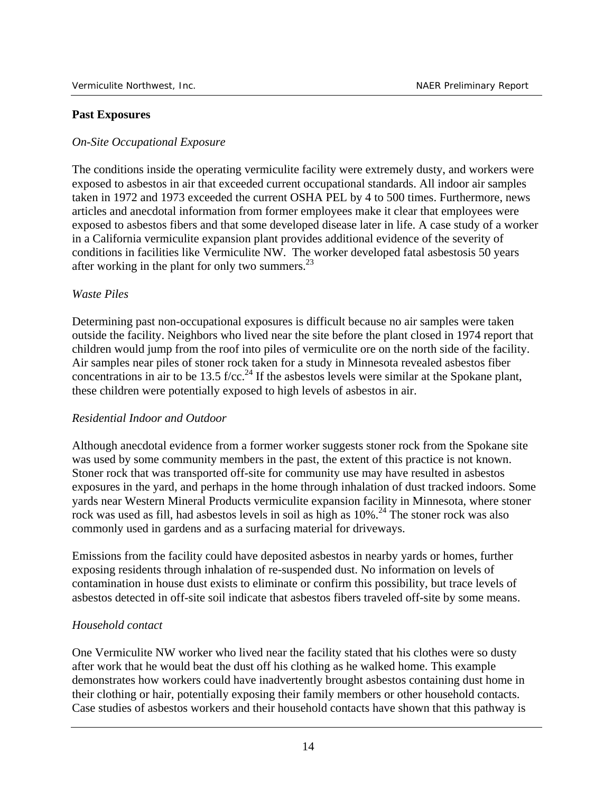#### **Past Exposures**

#### *On-Site Occupational Exposure*

The conditions inside the operating vermiculite facility were extremely dusty, and workers were exposed to asbestos in air that exceeded current occupational standards. All indoor air samples taken in 1972 and 1973 exceeded the current OSHA PEL by 4 to 500 times. Furthermore, news articles and anecdotal information from former employees make it clear that employees were exposed to asbestos fibers and that some developed disease later in life. A case study of a worker in a California vermiculite expansion plant provides additional evidence of the severity of conditions in facilities like Vermiculite NW. The worker developed fatal asbestosis 50 years after working in the plant for only two summers. $^{23}$ 

#### *Waste Piles*

Determining past non-occupational exposures is difficult because no air samples were taken outside the facility. Neighbors who lived near the site before the plant closed in 1974 report that children would jump from the roof into piles of vermiculite ore on the north side of the facility. Air samples near piles of stoner rock taken for a study in Minnesota revealed asbestos fiber concentrations in air to be 13.5 f/cc.<sup>24</sup> If the asbestos levels were similar at the Spokane plant, these children were potentially exposed to high levels of asbestos in air.

#### *Residential Indoor and Outdoor*

Although anecdotal evidence from a former worker suggests stoner rock from the Spokane site was used by some community members in the past, the extent of this practice is not known. Stoner rock that was transported off-site for community use may have resulted in asbestos exposures in the yard, and perhaps in the home through inhalation of dust tracked indoors. Some yards near Western Mineral Products vermiculite expansion facility in Minnesota, where stoner rock was used as fill, had asbestos levels in soil as high as  $10\%$ <sup>24</sup>. The stoner rock was also commonly used in gardens and as a surfacing material for driveways.

Emissions from the facility could have deposited asbestos in nearby yards or homes, further exposing residents through inhalation of re-suspended dust. No information on levels of contamination in house dust exists to eliminate or confirm this possibility, but trace levels of asbestos detected in off-site soil indicate that asbestos fibers traveled off-site by some means.

#### *Household contact*

One Vermiculite NW worker who lived near the facility stated that his clothes were so dusty after work that he would beat the dust off his clothing as he walked home. This example demonstrates how workers could have inadvertently brought asbestos containing dust home in their clothing or hair, potentially exposing their family members or other household contacts. Case studies of asbestos workers and their household contacts have shown that this pathway is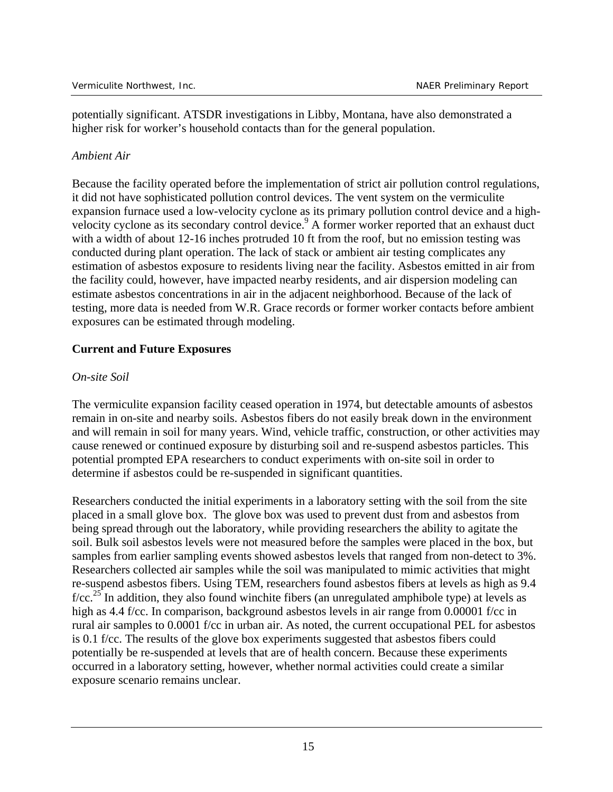potentially significant. ATSDR investigations in Libby, Montana, have also demonstrated a higher risk for worker's household contacts than for the general population.

#### *Ambient Air*

Because the facility operated before the implementation of strict air pollution control regulations, it did not have sophisticated pollution control devices. The vent system on the vermiculite expansion furnace used a low-velocity cyclone as its primary pollution control device and a highvelocity cyclone as its secondary control device.<sup>9</sup> A former worker reported that an exhaust duct with a width of about 12-16 inches protruded 10 ft from the roof, but no emission testing was conducted during plant operation. The lack of stack or ambient air testing complicates any estimation of asbestos exposure to residents living near the facility. Asbestos emitted in air from the facility could, however, have impacted nearby residents, and air dispersion modeling can estimate asbestos concentrations in air in the adjacent neighborhood. Because of the lack of testing, more data is needed from W.R. Grace records or former worker contacts before ambient exposures can be estimated through modeling.

#### **Current and Future Exposures**

#### *On-site Soil*

The vermiculite expansion facility ceased operation in 1974, but detectable amounts of asbestos remain in on-site and nearby soils. Asbestos fibers do not easily break down in the environment and will remain in soil for many years. Wind, vehicle traffic, construction, or other activities may cause renewed or continued exposure by disturbing soil and re-suspend asbestos particles. This potential prompted EPA researchers to conduct experiments with on-site soil in order to determine if asbestos could be re-suspended in significant quantities.

Researchers conducted the initial experiments in a laboratory setting with the soil from the site placed in a small glove box. The glove box was used to prevent dust from and asbestos from being spread through out the laboratory, while providing researchers the ability to agitate the soil. Bulk soil asbestos levels were not measured before the samples were placed in the box, but samples from earlier sampling events showed asbestos levels that ranged from non-detect to 3%. Researchers collected air samples while the soil was manipulated to mimic activities that might re-suspend asbestos fibers. Using TEM, researchers found asbestos fibers at levels as high as 9.4  $f/cc<sup>25</sup>$  In addition, they also found winchite fibers (an unregulated amphibole type) at levels as high as 4.4 f/cc. In comparison, background asbestos levels in air range from 0.00001 f/cc in rural air samples to 0.0001 f/cc in urban air. As noted, the current occupational PEL for asbestos is 0.1 f/cc. The results of the glove box experiments suggested that asbestos fibers could potentially be re-suspended at levels that are of health concern. Because these experiments occurred in a laboratory setting, however, whether normal activities could create a similar exposure scenario remains unclear.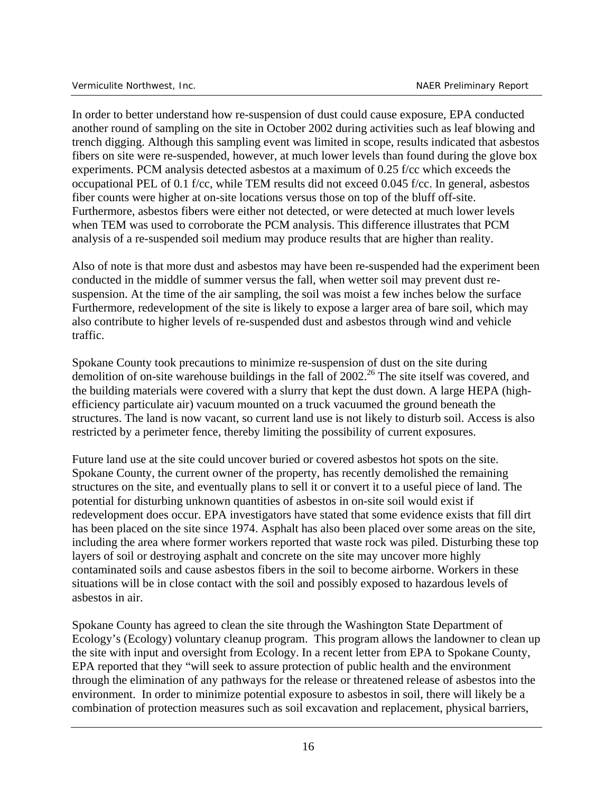In order to better understand how re-suspension of dust could cause exposure, EPA conducted another round of sampling on the site in October 2002 during activities such as leaf blowing and trench digging. Although this sampling event was limited in scope, results indicated that asbestos fibers on site were re-suspended, however, at much lower levels than found during the glove box experiments. PCM analysis detected asbestos at a maximum of 0.25 f/cc which exceeds the occupational PEL of 0.1 f/cc, while TEM results did not exceed 0.045 f/cc. In general, asbestos fiber counts were higher at on-site locations versus those on top of the bluff off-site. Furthermore, asbestos fibers were either not detected, or were detected at much lower levels when TEM was used to corroborate the PCM analysis. This difference illustrates that PCM analysis of a re-suspended soil medium may produce results that are higher than reality.

Also of note is that more dust and asbestos may have been re-suspended had the experiment been conducted in the middle of summer versus the fall, when wetter soil may prevent dust resuspension. At the time of the air sampling, the soil was moist a few inches below the surface Furthermore, redevelopment of the site is likely to expose a larger area of bare soil, which may also contribute to higher levels of re-suspended dust and asbestos through wind and vehicle traffic.

Spokane County took precautions to minimize re-suspension of dust on the site during demolition of on-site warehouse buildings in the fall of  $2002<sup>26</sup>$  The site itself was covered, and the building materials were covered with a slurry that kept the dust down. A large HEPA (highefficiency particulate air) vacuum mounted on a truck vacuumed the ground beneath the structures. The land is now vacant, so current land use is not likely to disturb soil. Access is also restricted by a perimeter fence, thereby limiting the possibility of current exposures.

Future land use at the site could uncover buried or covered asbestos hot spots on the site. Spokane County, the current owner of the property, has recently demolished the remaining structures on the site, and eventually plans to sell it or convert it to a useful piece of land. The potential for disturbing unknown quantities of asbestos in on-site soil would exist if redevelopment does occur. EPA investigators have stated that some evidence exists that fill dirt has been placed on the site since 1974. Asphalt has also been placed over some areas on the site, including the area where former workers reported that waste rock was piled. Disturbing these top layers of soil or destroying asphalt and concrete on the site may uncover more highly contaminated soils and cause asbestos fibers in the soil to become airborne. Workers in these situations will be in close contact with the soil and possibly exposed to hazardous levels of asbestos in air.

Spokane County has agreed to clean the site through the Washington State Department of Ecology's (Ecology) voluntary cleanup program. This program allows the landowner to clean up the site with input and oversight from Ecology. In a recent letter from EPA to Spokane County, EPA reported that they "will seek to assure protection of public health and the environment through the elimination of any pathways for the release or threatened release of asbestos into the environment. In order to minimize potential exposure to asbestos in soil, there will likely be a combination of protection measures such as soil excavation and replacement, physical barriers,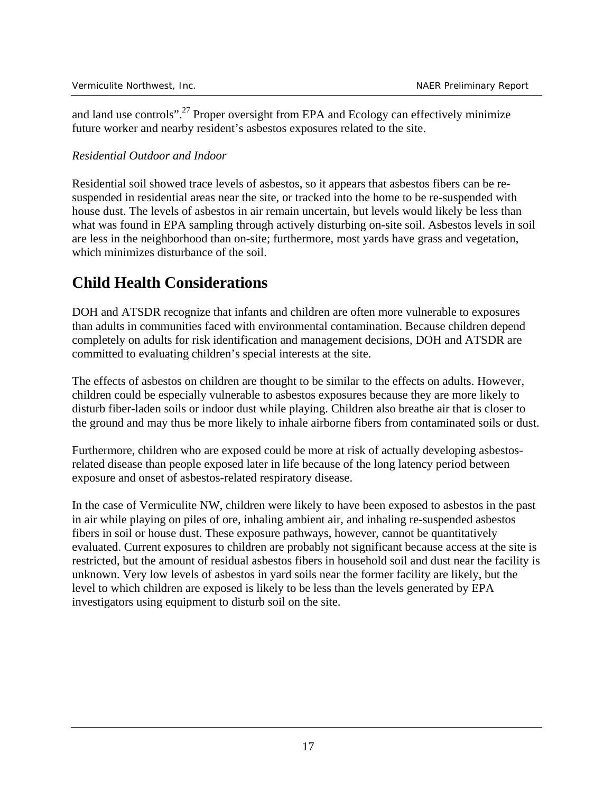and land use controls".<sup>27</sup> Proper oversight from EPA and Ecology can effectively minimize future worker and nearby resident's asbestos exposures related to the site.

# *Residential Outdoor and Indoor*

Residential soil showed trace levels of asbestos, so it appears that asbestos fibers can be resuspended in residential areas near the site, or tracked into the home to be re-suspended with house dust. The levels of asbestos in air remain uncertain, but levels would likely be less than what was found in EPA sampling through actively disturbing on-site soil. Asbestos levels in soil are less in the neighborhood than on-site; furthermore, most yards have grass and vegetation, which minimizes disturbance of the soil.

# **Child Health Considerations**

DOH and ATSDR recognize that infants and children are often more vulnerable to exposures than adults in communities faced with environmental contamination. Because children depend completely on adults for risk identification and management decisions, DOH and ATSDR are committed to evaluating children's special interests at the site.

The effects of asbestos on children are thought to be similar to the effects on adults. However, children could be especially vulnerable to asbestos exposures because they are more likely to disturb fiber-laden soils or indoor dust while playing. Children also breathe air that is closer to the ground and may thus be more likely to inhale airborne fibers from contaminated soils or dust.

Furthermore, children who are exposed could be more at risk of actually developing asbestosrelated disease than people exposed later in life because of the long latency period between exposure and onset of asbestos-related respiratory disease.

In the case of Vermiculite NW, children were likely to have been exposed to asbestos in the past in air while playing on piles of ore, inhaling ambient air, and inhaling re-suspended asbestos fibers in soil or house dust. These exposure pathways, however, cannot be quantitatively evaluated. Current exposures to children are probably not significant because access at the site is restricted, but the amount of residual asbestos fibers in household soil and dust near the facility is unknown. Very low levels of asbestos in yard soils near the former facility are likely, but the level to which children are exposed is likely to be less than the levels generated by EPA investigators using equipment to disturb soil on the site.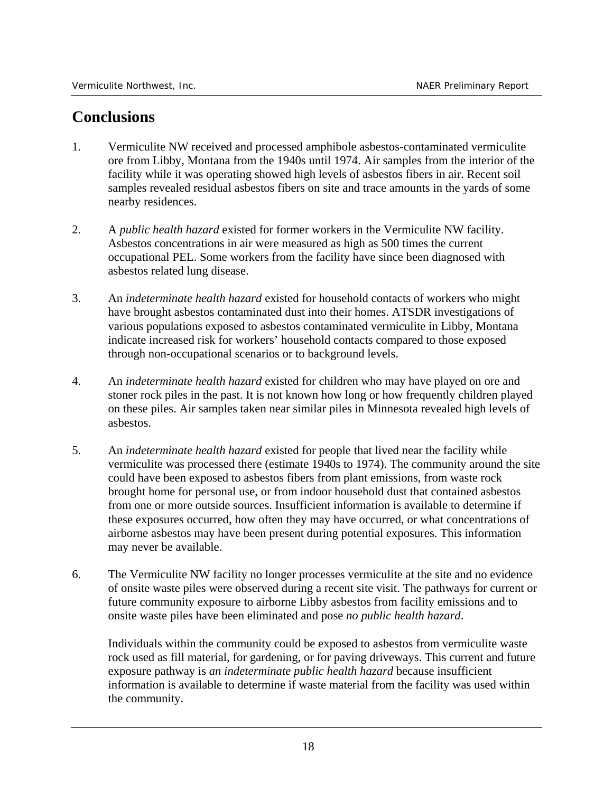# **Conclusions**

- 1. Vermiculite NW received and processed amphibole asbestos-contaminated vermiculite ore from Libby, Montana from the 1940s until 1974. Air samples from the interior of the facility while it was operating showed high levels of asbestos fibers in air. Recent soil samples revealed residual asbestos fibers on site and trace amounts in the yards of some nearby residences.
- 2. A *public health hazard* existed for former workers in the Vermiculite NW facility. Asbestos concentrations in air were measured as high as 500 times the current occupational PEL. Some workers from the facility have since been diagnosed with asbestos related lung disease.
- 3. An *indeterminate health hazard* existed for household contacts of workers who might have brought asbestos contaminated dust into their homes. ATSDR investigations of various populations exposed to asbestos contaminated vermiculite in Libby, Montana indicate increased risk for workers' household contacts compared to those exposed through non-occupational scenarios or to background levels.
- 4. An *indeterminate health hazard* existed for children who may have played on ore and stoner rock piles in the past. It is not known how long or how frequently children played on these piles. Air samples taken near similar piles in Minnesota revealed high levels of asbestos.
- 5. An *indeterminate health hazard* existed for people that lived near the facility while vermiculite was processed there (estimate 1940s to 1974). The community around the site could have been exposed to asbestos fibers from plant emissions, from waste rock brought home for personal use, or from indoor household dust that contained asbestos from one or more outside sources. Insufficient information is available to determine if these exposures occurred, how often they may have occurred, or what concentrations of airborne asbestos may have been present during potential exposures. This information may never be available.
- 6. The Vermiculite NW facility no longer processes vermiculite at the site and no evidence of onsite waste piles were observed during a recent site visit. The pathways for current or future community exposure to airborne Libby asbestos from facility emissions and to onsite waste piles have been eliminated and pose *no public health hazard*.

Individuals within the community could be exposed to asbestos from vermiculite waste rock used as fill material, for gardening, or for paving driveways. This current and future exposure pathway is *an indeterminate public health hazard* because insufficient information is available to determine if waste material from the facility was used within the community.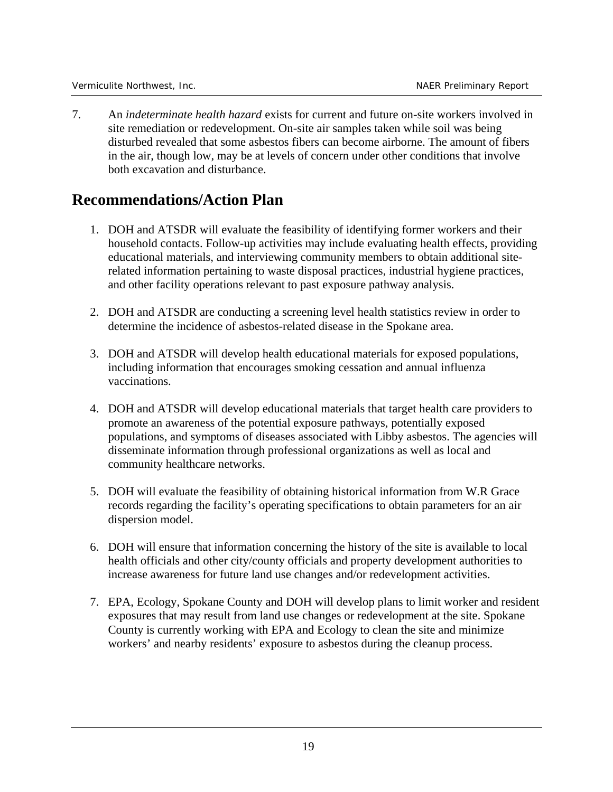7. An *indeterminate health hazard* exists for current and future on-site workers involved in site remediation or redevelopment. On-site air samples taken while soil was being disturbed revealed that some asbestos fibers can become airborne. The amount of fibers in the air, though low, may be at levels of concern under other conditions that involve both excavation and disturbance.

# **Recommendations/Action Plan**

- 1. DOH and ATSDR will evaluate the feasibility of identifying former workers and their household contacts. Follow-up activities may include evaluating health effects, providing educational materials, and interviewing community members to obtain additional siterelated information pertaining to waste disposal practices, industrial hygiene practices, and other facility operations relevant to past exposure pathway analysis.
- 2. DOH and ATSDR are conducting a screening level health statistics review in order to determine the incidence of asbestos-related disease in the Spokane area.
- 3. DOH and ATSDR will develop health educational materials for exposed populations, including information that encourages smoking cessation and annual influenza vaccinations.
- 4. DOH and ATSDR will develop educational materials that target health care providers to promote an awareness of the potential exposure pathways, potentially exposed populations, and symptoms of diseases associated with Libby asbestos. The agencies will disseminate information through professional organizations as well as local and community healthcare networks.
- 5. DOH will evaluate the feasibility of obtaining historical information from W.R Grace records regarding the facility's operating specifications to obtain parameters for an air dispersion model.
- 6. DOH will ensure that information concerning the history of the site is available to local health officials and other city/county officials and property development authorities to increase awareness for future land use changes and/or redevelopment activities.
- 7. EPA, Ecology, Spokane County and DOH will develop plans to limit worker and resident exposures that may result from land use changes or redevelopment at the site. Spokane County is currently working with EPA and Ecology to clean the site and minimize workers' and nearby residents' exposure to asbestos during the cleanup process.